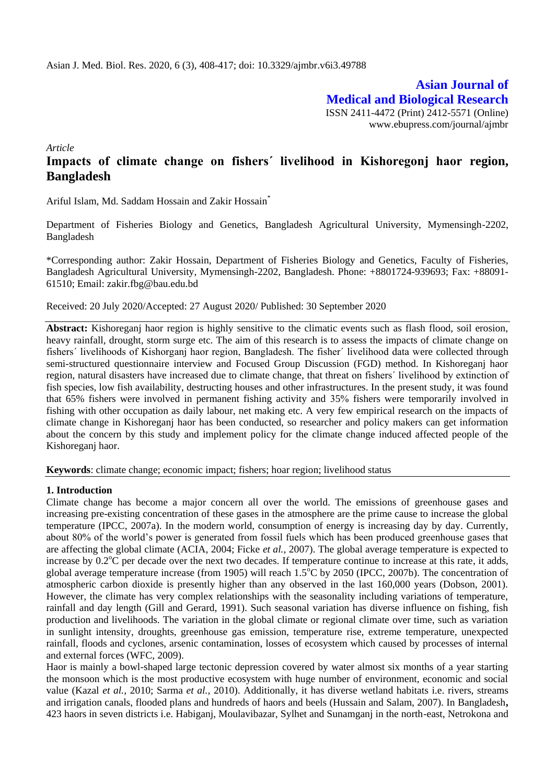**Asian Journal of Medical and Biological Research** ISSN 2411-4472 (Print) 2412-5571 (Online) www.ebupress.com/journal/ajmbr

*Article*

# **Impacts of climate change on fishersˊ livelihood in Kishoregonj haor region, Bangladesh**

Ariful Islam, Md. Saddam Hossain and Zakir Hossain\*

Department of Fisheries Biology and Genetics, Bangladesh Agricultural University, Mymensingh-2202, Bangladesh

\*Corresponding author: Zakir Hossain, Department of Fisheries Biology and Genetics, Faculty of Fisheries, Bangladesh Agricultural University, Mymensingh-2202, Bangladesh. Phone: +8801724-939693; Fax: +88091- 61510; Email: zakir.fbg@bau.edu.bd

Received: 20 July 2020/Accepted: 27 August 2020/ Published: 30 September 2020

**Abstract:** Kishoreganj haor region is highly sensitive to the climatic events such as flash flood, soil erosion, heavy rainfall, drought, storm surge etc. The aim of this research is to assess the impacts of climate change on fishersˊ livelihoods of Kishorganj haor region, Bangladesh. The fisherˊ livelihood data were collected through semi-structured questionnaire interview and Focused Group Discussion (FGD) method. In Kishoreganj haor region, natural disasters have increased due to climate change, that threat on fishersˊ livelihood by extinction of fish species, low fish availability, destructing houses and other infrastructures. In the present study, it was found that 65% fishers were involved in permanent fishing activity and 35% fishers were temporarily involved in fishing with other occupation as daily labour, net making etc. A very few empirical research on the impacts of climate change in Kishoreganj haor has been conducted, so researcher and policy makers can get information about the concern by this study and implement policy for the climate change induced affected people of the Kishoreganj haor.

**Keywords**: climate change; economic impact; fishers; hoar region; livelihood status

## **1. Introduction**

Climate change has become a major concern all over the world. The emissions of greenhouse gases and increasing pre-existing concentration of these gases in the atmosphere are the prime cause to increase the global temperature (IPCC, 2007a). In the modern world, consumption of energy is increasing day by day. Currently, about 80% of the world's power is generated from fossil fuels which has been produced greenhouse gases that are affecting the global climate (ACIA, 2004; Ficke *et al.,* 2007). The global average temperature is expected to increase by  $0.2^{\circ}$ C per decade over the next two decades. If temperature continue to increase at this rate, it adds, global average temperature increase (from 1905) will reach  $1.5^{\circ}$ C by 2050 (IPCC, 2007b). The concentration of atmospheric carbon dioxide is presently higher than any observed in the last 160,000 years (Dobson, 2001). However, the climate has very complex relationships with the seasonality including variations of temperature, rainfall and day length (Gill and Gerard, 1991). Such seasonal variation has diverse influence on fishing, fish production and livelihoods. The variation in the global climate or regional climate over time, such as variation in sunlight intensity, droughts, greenhouse gas emission, temperature rise, extreme temperature, unexpected rainfall, floods and cyclones, arsenic contamination, losses of ecosystem which caused by processes of internal and external forces (WFC, 2009).

Haor is mainly a bowl-shaped large tectonic depression covered by water almost six months of a year starting the monsoon which is the most productive ecosystem with huge number of environment, economic and social value (Kazal *et al.,* 2010; Sarma *et al.,* 2010). Additionally, it has diverse wetland habitats i.e. rivers, streams and irrigation canals, flooded plans and hundreds of haors and beels (Hussain and Salam, 2007). In Bangladesh**,**  423 haors in seven districts i.e. Habiganj, Moulavibazar, Sylhet and Sunamganj in the north-east, Netrokona and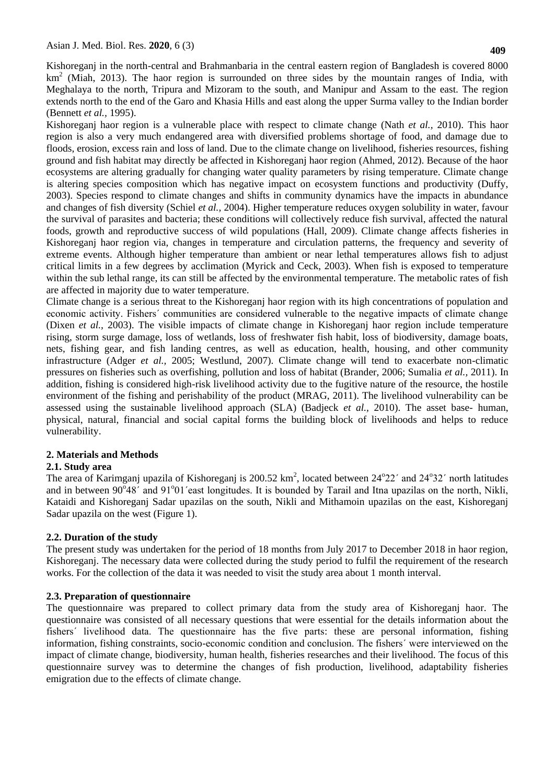Kishoreganj in the north-central and Brahmanbaria in the central eastern region of Bangladesh is covered 8000  $km<sup>2</sup>$  (Miah, 2013). The haor region is surrounded on three sides by the mountain ranges of India, with Meghalaya to the north, Tripura and Mizoram to the south, and Manipur and Assam to the east. The region extends north to the end of the Garo and Khasia Hills and east along the upper Surma valley to the Indian border (Bennett *et al.,* 1995).

Kishoreganj haor region is a vulnerable place with respect to climate change (Nath *et al.,* 2010). This haor region is also a very much endangered area with diversified problems shortage of food, and damage due to floods, erosion, excess rain and loss of land. Due to the climate change on livelihood, fisheries resources, fishing ground and fish habitat may directly be affected in Kishoreganj haor region (Ahmed, 2012). Because of the haor ecosystems are altering gradually for changing water quality parameters by rising temperature. Climate change is altering species composition which has negative impact on ecosystem functions and productivity (Duffy, 2003). Species respond to climate changes and shifts in community dynamics have the impacts in abundance and changes of fish diversity (Schiel *et al.,* 2004). Higher temperature reduces oxygen solubility in water, favour the survival of parasites and bacteria; these conditions will collectively reduce fish survival, affected the natural foods, growth and reproductive success of wild populations (Hall, 2009). Climate change affects fisheries in Kishoreganj haor region via, changes in temperature and circulation patterns, the frequency and severity of extreme events. Although higher temperature than ambient or near lethal temperatures allows fish to adjust critical limits in a few degrees by acclimation (Myrick and Ceck, 2003). When fish is exposed to temperature within the sub lethal range, its can still be affected by the environmental temperature. The metabolic rates of fish are affected in majority due to water temperature.

Climate change is a serious threat to the Kishoreganj haor region with its high concentrations of population and economic activity. Fishersˊ communities are considered vulnerable to the negative impacts of climate change (Dixen *et al.,* 2003). The visible impacts of climate change in Kishoreganj haor region include temperature rising, storm surge damage, loss of wetlands, loss of freshwater fish habit, loss of biodiversity, damage boats, nets, fishing gear, and fish landing centres, as well as education, health, housing, and other community infrastructure (Adger *et al.,* 2005; Westlund, 2007). Climate change will tend to exacerbate non-climatic pressures on fisheries such as overfishing, pollution and loss of habitat (Brander, 2006; Sumalia *et al.,* 2011). In addition, fishing is considered high-risk livelihood activity due to the fugitive nature of the resource, the hostile environment of the fishing and perishability of the product (MRAG, 2011). The livelihood vulnerability can be assessed using the sustainable livelihood approach (SLA) (Badjeck *et al.,* 2010). The asset base- human, physical, natural, financial and social capital forms the building block of livelihoods and helps to reduce vulnerability.

## **2. Materials and Methods**

## **2.1. Study area**

The area of Karimganj upazila of Kishoreganj is  $200.52 \text{ km}^2$ , located between  $24^{\circ}22'$  and  $24^{\circ}32'$  north latitudes and in between 90°48' and 91°01'east longitudes. It is bounded by Tarail and Itna upazilas on the north, Nikli, Kataidi and Kishoreganj Sadar upazilas on the south, Nikli and Mithamoin upazilas on the east, Kishoreganj Sadar upazila on the west (Figure 1).

## **2.2. Duration of the study**

The present study was undertaken for the period of 18 months from July 2017 to December 2018 in haor region, Kishoreganj. The necessary data were collected during the study period to fulfil the requirement of the research works. For the collection of the data it was needed to visit the study area about 1 month interval.

## **2.3. Preparation of questionnaire**

The questionnaire was prepared to collect primary data from the study area of Kishoreganj haor. The questionnaire was consisted of all necessary questions that were essential for the details information about the fishersˊ livelihood data. The questionnaire has the five parts: these are personal information, fishing information, fishing constraints, socio-economic condition and conclusion. The fishersˊ were interviewed on the impact of climate change, biodiversity, human health, fisheries researches and their livelihood. The focus of this questionnaire survey was to determine the changes of fish production, livelihood, adaptability fisheries emigration due to the effects of climate change.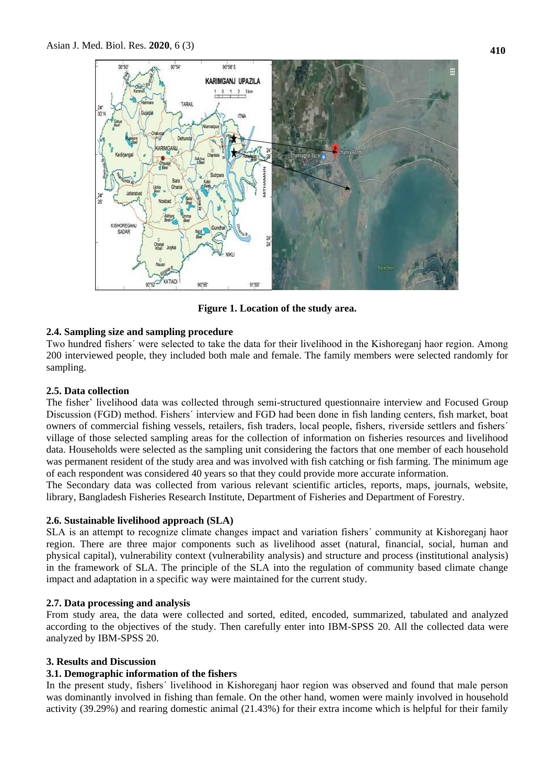

**Figure 1. Location of the study area.**

## **2.4. Sampling size and sampling procedure**

Two hundred fishersˊ were selected to take the data for their livelihood in the Kishoreganj haor region. Among 200 interviewed people, they included both male and female. The family members were selected randomly for sampling.

## **2.5. Data collection**

The fisher' livelihood data was collected through semi-structured questionnaire interview and Focused Group Discussion (FGD) method. Fishersˊ interview and FGD had been done in fish landing centers, fish market, boat owners of commercial fishing vessels, retailers, fish traders, local people, fishers, riverside settlers and fishersˊ village of those selected sampling areas for the collection of information on fisheries resources and livelihood data. Households were selected as the sampling unit considering the factors that one member of each household was permanent resident of the study area and was involved with fish catching or fish farming. The minimum age of each respondent was considered 40 years so that they could provide more accurate information.

The Secondary data was collected from various relevant scientific articles, reports, maps, journals, website, library, Bangladesh Fisheries Research Institute, Department of Fisheries and Department of Forestry.

## **2.6. Sustainable livelihood approach (SLA)**

SLA is an attempt to recognize climate changes impact and variation fishersˊ community at Kishoreganj haor region. There are three major components such as livelihood asset (natural, financial, social, human and physical capital), vulnerability context (vulnerability analysis) and structure and process (institutional analysis) in the framework of SLA. The principle of the SLA into the regulation of community based climate change impact and adaptation in a specific way were maintained for the current study.

## **2.7. Data processing and analysis**

From study area, the data were collected and sorted, edited, encoded, summarized, tabulated and analyzed according to the objectives of the study. Then carefully enter into IBM-SPSS 20. All the collected data were analyzed by IBM-SPSS 20.

## **3. Results and Discussion**

## **3.1. Demographic information of the fishers**

In the present study, fishersˊ livelihood in Kishoreganj haor region was observed and found that male person was dominantly involved in fishing than female. On the other hand, women were mainly involved in household activity (39.29%) and rearing domestic animal (21.43%) for their extra income which is helpful for their family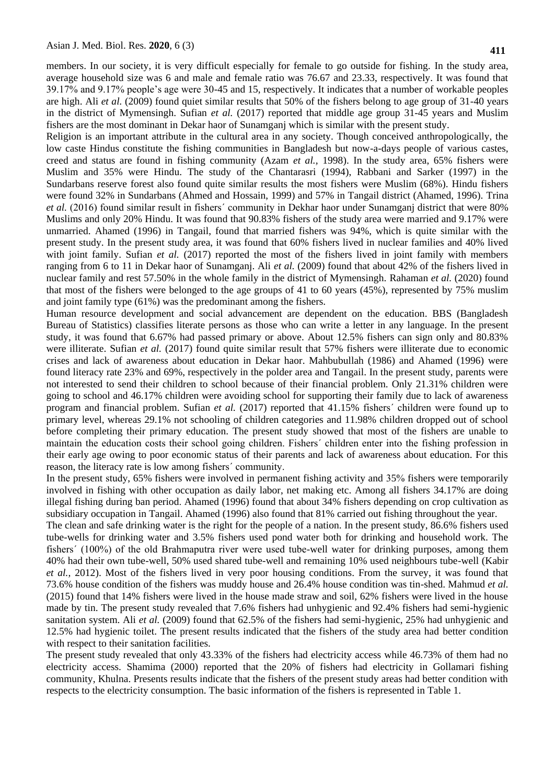members. In our society, it is very difficult especially for female to go outside for fishing. In the study area, average household size was 6 and male and female ratio was 76.67 and 23.33, respectively. It was found that 39.17% and 9.17% people's age were 30-45 and 15, respectively. It indicates that a number of workable peoples are high. Ali *et al.* (2009) found quiet similar results that 50% of the fishers belong to age group of 31-40 years in the district of Mymensingh. Sufian *et al.* (2017) reported that middle age group 31-45 years and Muslim fishers are the most dominant in Dekar haor of Sunamganj which is similar with the present study.

Religion is an important attribute in the cultural area in any society. Though conceived anthropologically, the low caste Hindus constitute the fishing communities in Bangladesh but now-a-days people of various castes, creed and status are found in fishing community (Azam *et al.,* 1998). In the study area, 65% fishers were Muslim and 35% were Hindu. The study of the Chantarasri (1994), Rabbani and Sarker (1997) in the Sundarbans reserve forest also found quite similar results the most fishers were Muslim (68%). Hindu fishers were found 32% in Sundarbans (Ahmed and Hossain, 1999) and 57% in Tangail district (Ahamed, 1996). Trina *et al.* (2016) found similar result in fishersˊ community in Dekhar haor under Sunamganj district that were 80% Muslims and only 20% Hindu. It was found that 90.83% fishers of the study area were married and 9.17% were unmarried. Ahamed (1996) in Tangail, found that married fishers was 94%, which is quite similar with the present study. In the present study area, it was found that 60% fishers lived in nuclear families and 40% lived with joint family. Sufian *et al.* (2017) reported the most of the fishers lived in joint family with members ranging from 6 to 11 in Dekar haor of Sunamganj. Ali *et al.* (2009) found that about 42% of the fishers lived in nuclear family and rest 57.50% in the whole family in the district of Mymensingh. Rahaman *et al.* (2020) found that most of the fishers were belonged to the age groups of 41 to 60 years (45%), represented by 75% muslim and joint family type (61%) was the predominant among the fishers.

Human resource development and social advancement are dependent on the education. BBS (Bangladesh Bureau of Statistics) classifies literate persons as those who can write a letter in any language. In the present study, it was found that 6.67% had passed primary or above. About 12.5% fishers can sign only and 80.83% were illiterate. Sufian *et al.* (2017) found quite similar result that 57% fishers were illiterate due to economic crises and lack of awareness about education in Dekar haor. Mahbubullah (1986) and Ahamed (1996) were found literacy rate 23% and 69%, respectively in the polder area and Tangail. In the present study, parents were not interested to send their children to school because of their financial problem. Only 21.31% children were going to school and 46.17% children were avoiding school for supporting their family due to lack of awareness program and financial problem. Sufian *et al.* (2017) reported that 41.15% fishersˊ children were found up to primary level, whereas 29.1% not schooling of children categories and 11.98% children dropped out of school before completing their primary education. The present study showed that most of the fishers are unable to maintain the education costs their school going children. Fishersˊ children enter into the fishing profession in their early age owing to poor economic status of their parents and lack of awareness about education. For this reason, the literacy rate is low among fishersˊ community.

In the present study, 65% fishers were involved in permanent fishing activity and 35% fishers were temporarily involved in fishing with other occupation as daily labor, net making etc. Among all fishers 34.17% are doing illegal fishing during ban period. Ahamed (1996) found that about 34% fishers depending on crop cultivation as subsidiary occupation in Tangail. Ahamed (1996) also found that 81% carried out fishing throughout the year.

The clean and safe drinking water is the right for the people of a nation. In the present study, 86.6% fishers used tube-wells for drinking water and 3.5% fishers used pond water both for drinking and household work. The fishersˊ (100%) of the old Brahmaputra river were used tube-well water for drinking purposes, among them 40% had their own tube-well, 50% used shared tube-well and remaining 10% used neighbours tube-well (Kabir *et al.,* 2012). Most of the fishers lived in very poor housing conditions. From the survey, it was found that 73.6% house condition of the fishers was muddy house and 26.4% house condition was tin-shed. Mahmud *et al.*  (2015) found that 14% fishers were lived in the house made straw and soil, 62% fishers were lived in the house made by tin. The present study revealed that 7.6% fishers had unhygienic and 92.4% fishers had semi-hygienic sanitation system. Ali *et al.* (2009) found that 62.5% of the fishers had semi-hygienic, 25% had unhygienic and 12.5% had hygienic toilet. The present results indicated that the fishers of the study area had better condition with respect to their sanitation facilities.

The present study revealed that only 43.33% of the fishers had electricity access while 46.73% of them had no electricity access. Shamima (2000) reported that the 20% of fishers had electricity in Gollamari fishing community, Khulna. Presents results indicate that the fishers of the present study areas had better condition with respects to the electricity consumption. The basic information of the fishers is represented in Table 1.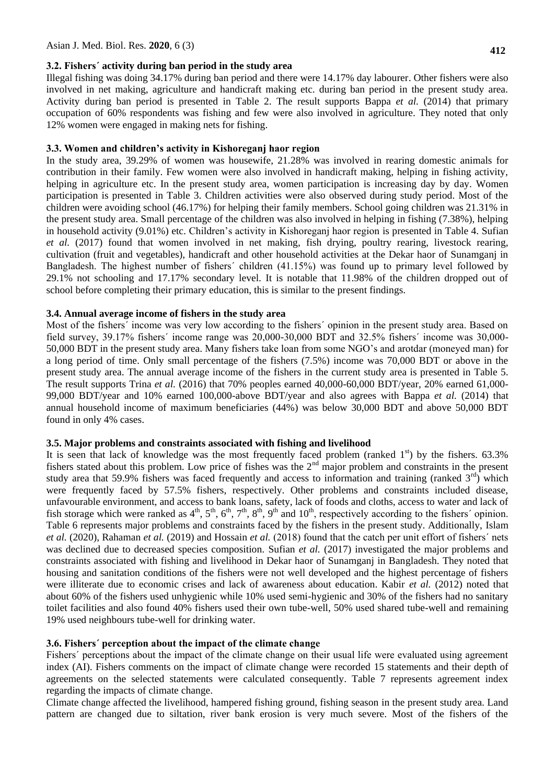#### **3.2. Fishersˊ activity during ban period in the study area**

Illegal fishing was doing 34.17% during ban period and there were 14.17% day labourer. Other fishers were also involved in net making, agriculture and handicraft making etc. during ban period in the present study area. Activity during ban period is presented in Table 2. The result supports Bappa *et al.* (2014) that primary occupation of 60% respondents was fishing and few were also involved in agriculture. They noted that only 12% women were engaged in making nets for fishing.

### **3.3. Women and children's activity in Kishoreganj haor region**

In the study area, 39.29% of women was housewife, 21.28% was involved in rearing domestic animals for contribution in their family. Few women were also involved in handicraft making, helping in fishing activity, helping in agriculture etc. In the present study area, women participation is increasing day by day. Women participation is presented in Table 3. Children activities were also observed during study period. Most of the children were avoiding school (46.17%) for helping their family members. School going children was 21.31% in the present study area. Small percentage of the children was also involved in helping in fishing (7.38%), helping in household activity (9.01%) etc. Children's activity in Kishoreganj haor region is presented in Table 4. Sufian *et al.* (2017) found that women involved in net making, fish drying, poultry rearing, livestock rearing, cultivation (fruit and vegetables), handicraft and other household activities at the Dekar haor of Sunamganj in Bangladesh. The highest number of fishersˊ children (41.15%) was found up to primary level followed by 29.1% not schooling and 17.17% secondary level. It is notable that 11.98% of the children dropped out of school before completing their primary education, this is similar to the present findings.

#### **3.4. Annual average income of fishers in the study area**

Most of the fishersˊ income was very low according to the fishersˊ opinion in the present study area. Based on field survey, 39.17% fishersˊ income range was 20,000-30,000 BDT and 32.5% fishersˊ income was 30,000- 50,000 BDT in the present study area. Many fishers take loan from some NGO's and arotdar (moneyed man) for a long period of time. Only small percentage of the fishers (7.5%) income was 70,000 BDT or above in the present study area. The annual average income of the fishers in the current study area is presented in Table 5. The result supports Trina *et al.* (2016) that 70% peoples earned 40,000-60,000 BDT/year, 20% earned 61,000- 99,000 BDT/year and 10% earned 100,000-above BDT/year and also agrees with Bappa *et al.* (2014) that annual household income of maximum beneficiaries (44%) was below 30,000 BDT and above 50,000 BDT found in only 4% cases.

### **3.5. Major problems and constraints associated with fishing and livelihood**

It is seen that lack of knowledge was the most frequently faced problem (ranked  $1<sup>st</sup>$ ) by the fishers. 63.3% fishers stated about this problem. Low price of fishes was the 2<sup>nd</sup> major problem and constraints in the present study area that 59.9% fishers was faced frequently and access to information and training (ranked  $3<sup>rd</sup>$ ) which were frequently faced by 57.5% fishers, respectively. Other problems and constraints included disease, unfavourable environment, and access to bank loans, safety, lack of foods and cloths, access to water and lack of fish storage which were ranked as  $4^{\text{th}}$ ,  $5^{\text{th}}$ ,  $6^{\text{th}}$ ,  $7^{\text{th}}$ ,  $8^{\text{th}}$ ,  $9^{\text{th}}$  and  $10^{\text{th}}$ , respectively according to the fishers' opinion. Table 6 represents major problems and constraints faced by the fishers in the present study. Additionally, Islam *et al.* (2020), Rahaman *et al.* (2019) and Hossain *et al.* (2018) found that the catch per unit effort of fishersˊ nets was declined due to decreased species composition. Sufian *et al.* (2017) investigated the major problems and constraints associated with fishing and livelihood in Dekar haor of Sunamganj in Bangladesh. They noted that housing and sanitation conditions of the fishers were not well developed and the highest percentage of fishers were illiterate due to economic crises and lack of awareness about education. Kabir *et al.* (2012) noted that about 60% of the fishers used unhygienic while 10% used semi-hygienic and 30% of the fishers had no sanitary toilet facilities and also found 40% fishers used their own tube-well, 50% used shared tube-well and remaining 19% used neighbours tube-well for drinking water.

#### **3.6. Fishersˊ perception about the impact of the climate change**

Fishersˊ perceptions about the impact of the climate change on their usual life were evaluated using agreement index (AI). Fishers comments on the impact of climate change were recorded 15 statements and their depth of agreements on the selected statements were calculated consequently. Table 7 represents agreement index regarding the impacts of climate change.

Climate change affected the livelihood, hampered fishing ground, fishing season in the present study area. Land pattern are changed due to siltation, river bank erosion is very much severe. Most of the fishers of the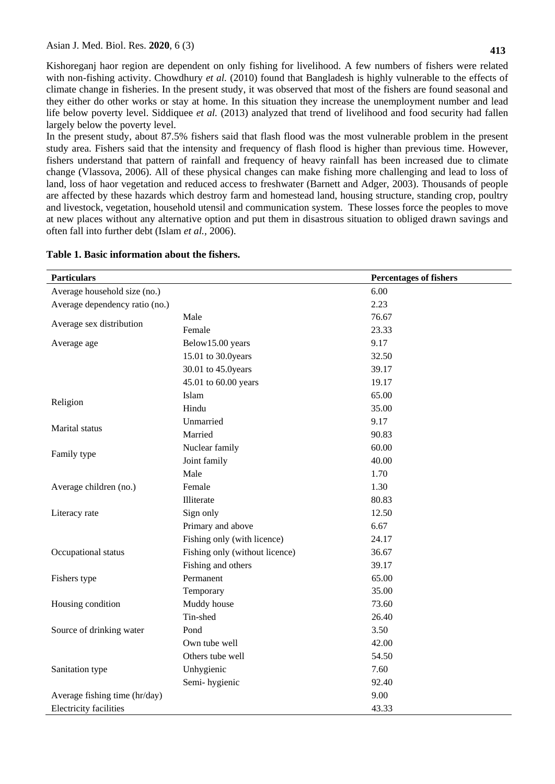Kishoreganj haor region are dependent on only fishing for livelihood. A few numbers of fishers were related with non-fishing activity. Chowdhury *et al.* (2010) found that Bangladesh is highly vulnerable to the effects of climate change in fisheries. In the present study, it was observed that most of the fishers are found seasonal and they either do other works or stay at home. In this situation they increase the unemployment number and lead life below poverty level. Siddiquee *et al.* (2013) analyzed that trend of livelihood and food security had fallen largely below the poverty level.

In the present study, about 87.5% fishers said that flash flood was the most vulnerable problem in the present study area. Fishers said that the intensity and frequency of flash flood is higher than previous time. However, fishers understand that pattern of rainfall and frequency of heavy rainfall has been increased due to climate change (Vlassova, 2006). All of these physical changes can make fishing more challenging and lead to loss of land, loss of haor vegetation and reduced access to freshwater (Barnett and Adger, 2003). Thousands of people are affected by these hazards which destroy farm and homestead land, housing structure, standing crop, poultry and livestock, vegetation, household utensil and communication system. These losses force the peoples to move at new places without any alternative option and put them in disastrous situation to obliged drawn savings and often fall into further debt (Islam *et al.,* 2006).

| <b>Particulars</b>             |                                | <b>Percentages of fishers</b> |
|--------------------------------|--------------------------------|-------------------------------|
| Average household size (no.)   |                                | 6.00                          |
| Average dependency ratio (no.) |                                | 2.23                          |
|                                | Male                           | 76.67                         |
| Average sex distribution       | Female                         | 23.33                         |
| Average age                    | Below15.00 years               | 9.17                          |
|                                | 15.01 to 30.0years             | 32.50                         |
|                                | 30.01 to 45.0years             | 39.17                         |
|                                | 45.01 to 60.00 years           | 19.17                         |
|                                | Islam                          | 65.00                         |
| Religion                       | Hindu                          | 35.00                         |
| Marital status                 | Unmarried                      | 9.17                          |
|                                | Married                        | 90.83                         |
|                                | Nuclear family                 | 60.00                         |
| Family type                    | Joint family                   | 40.00                         |
|                                | Male                           | 1.70                          |
| Average children (no.)         | Female                         | 1.30                          |
|                                | Illiterate                     | 80.83                         |
| Literacy rate                  | Sign only                      | 12.50                         |
|                                | Primary and above              | 6.67                          |
|                                | Fishing only (with licence)    | 24.17                         |
| Occupational status            | Fishing only (without licence) | 36.67                         |
|                                | Fishing and others             | 39.17                         |
| Fishers type                   | Permanent                      | 65.00                         |
|                                | Temporary                      | 35.00                         |
| Housing condition              | Muddy house                    | 73.60                         |
|                                | Tin-shed                       | 26.40                         |
| Source of drinking water       | Pond                           | 3.50                          |
|                                | Own tube well                  | 42.00                         |
|                                | Others tube well               | 54.50                         |
| Sanitation type                | Unhygienic                     | 7.60                          |
|                                | Semi-hygienic                  | 92.40                         |
| Average fishing time (hr/day)  |                                | 9.00                          |
| <b>Electricity facilities</b>  |                                | 43.33                         |

#### **Table 1. Basic information about the fishers.**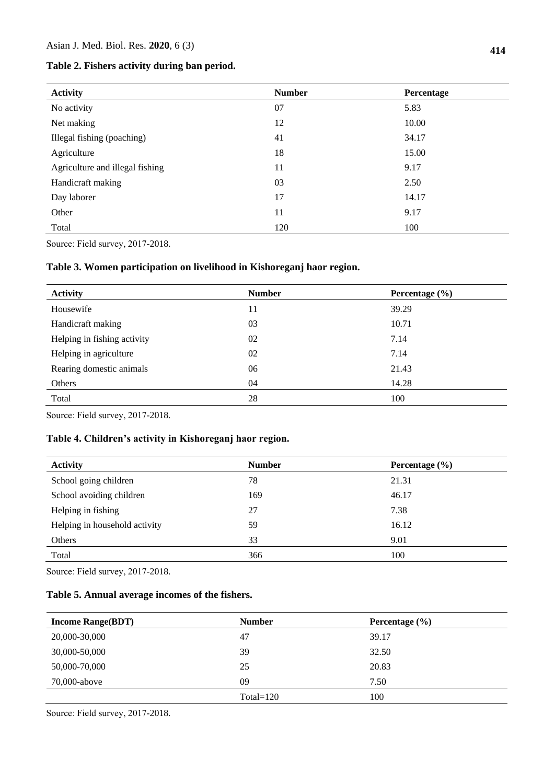| Table 2. Fishers activity during ban period. |  |  |
|----------------------------------------------|--|--|
|----------------------------------------------|--|--|

| <b>Activity</b>                 | <b>Number</b> | <b>Percentage</b> |
|---------------------------------|---------------|-------------------|
| No activity                     | 07            | 5.83              |
| Net making                      | 12            | 10.00             |
| Illegal fishing (poaching)      | 41            | 34.17             |
| Agriculture                     | 18            | 15.00             |
| Agriculture and illegal fishing | 11            | 9.17              |
| Handicraft making               | 03            | 2.50              |
| Day laborer                     | 17            | 14.17             |
| Other                           | 11            | 9.17              |
| Total                           | 120           | 100               |

Sourceː Field survey, 2017-2018.

## **Table 3. Women participation on livelihood in Kishoreganj haor region.**

| <b>Activity</b>             | <b>Number</b> | Percentage $(\% )$ |
|-----------------------------|---------------|--------------------|
| Housewife                   | 11            | 39.29              |
| Handicraft making           | 03            | 10.71              |
| Helping in fishing activity | 02            | 7.14               |
| Helping in agriculture      | 02            | 7.14               |
| Rearing domestic animals    | 06            | 21.43              |
| Others                      | 04            | 14.28              |
| Total                       | 28            | 100                |

Sourceː Field survey, 2017-2018.

# **Table 4. Children's activity in Kishoreganj haor region.**

| <b>Activity</b>               | <b>Number</b> | Percentage $(\% )$ |
|-------------------------------|---------------|--------------------|
| School going children         | 78            | 21.31              |
| School avoiding children      | 169           | 46.17              |
| Helping in fishing            | 27            | 7.38               |
| Helping in household activity | 59            | 16.12              |
| Others                        | 33            | 9.01               |
| Total                         | 366           | 100                |

Sourceː Field survey, 2017-2018.

## **Table 5. Annual average incomes of the fishers.**

| <b>Income Range(BDT)</b> | <b>Number</b> | Percentage $(\% )$ |
|--------------------------|---------------|--------------------|
| 20,000-30,000            | 47            | 39.17              |
| 30,000-50,000            | 39            | 32.50              |
| 50,000-70,000            | 25            | 20.83              |
| 70,000-above             | 09            | 7.50               |
|                          | $Total=120$   | 100                |

Sourceː Field survey, 2017-2018.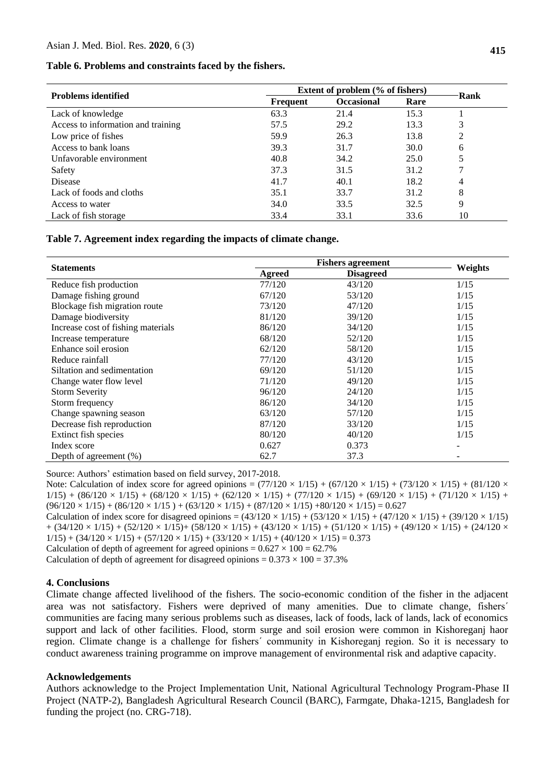#### **Table 6. Problems and constraints faced by the fishers.**

| <b>Problems identified</b>         | Extent of problem (% of fishers) |                   |      | Rank |
|------------------------------------|----------------------------------|-------------------|------|------|
|                                    | <b>Frequent</b>                  | <b>Occasional</b> | Rare |      |
| Lack of knowledge                  | 63.3                             | 21.4              | 15.3 |      |
| Access to information and training | 57.5                             | 29.2              | 13.3 | 3    |
| Low price of fishes                | 59.9                             | 26.3              | 13.8 | 2    |
| Access to bank loans               | 39.3                             | 31.7              | 30.0 | 6    |
| Unfavorable environment            | 40.8                             | 34.2              | 25.0 |      |
| Safety                             | 37.3                             | 31.5              | 31.2 |      |
| <b>Disease</b>                     | 41.7                             | 40.1              | 18.2 | 4    |
| Lack of foods and cloths           | 35.1                             | 33.7              | 31.2 | 8    |
| Access to water                    | 34.0                             | 33.5              | 32.5 | 9    |
| Lack of fish storage               | 33.4                             | 33.1              | 33.6 | 10   |

**Table 7. Agreement index regarding the impacts of climate change.**

| <b>Statements</b>                  | <b>Fishers agreement</b> |                  |         |
|------------------------------------|--------------------------|------------------|---------|
|                                    | Agreed                   | <b>Disagreed</b> | Weights |
| Reduce fish production             | 77/120                   | 43/120           | 1/15    |
| Damage fishing ground              | 67/120                   | 53/120           | 1/15    |
| Blockage fish migration route      | 73/120                   | 47/120           | 1/15    |
| Damage biodiversity                | 81/120                   | 39/120           | 1/15    |
| Increase cost of fishing materials | 86/120                   | 34/120           | 1/15    |
| Increase temperature               | 68/120                   | 52/120           | 1/15    |
| Enhance soil erosion               | 62/120                   | 58/120           | 1/15    |
| Reduce rainfall                    | 77/120                   | 43/120           | 1/15    |
| Siltation and sedimentation        | 69/120                   | 51/120           | 1/15    |
| Change water flow level            | 71/120                   | 49/120           | 1/15    |
| <b>Storm Severity</b>              | 96/120                   | 24/120           | 1/15    |
| Storm frequency                    | 86/120                   | 34/120           | 1/15    |
| Change spawning season             | 63/120                   | 57/120           | 1/15    |
| Decrease fish reproduction         | 87/120                   | 33/120           | 1/15    |
| Extinct fish species               | 80/120                   | 40/120           | 1/15    |
| Index score                        | 0.627                    | 0.373            | -       |
| Depth of agreement (%)             | 62.7                     | 37.3             |         |

Source: Authors' estimation based on field survey, 2017-2018.

Note: Calculation of index score for agreed opinions =  $(77/120 \times 1/15) + (67/120 \times 1/15) + (73/120 \times 1/15) + (81/120 \times 1/15)$  $1/15$ ) + (86/120 × 1/15) + (68/120 × 1/15) + (62/120 × 1/15) + (77/120 × 1/15) + (69/120 × 1/15) + (71/120 × 1/15) +  $(96/120 \times 1/15) + (86/120 \times 1/15) + (63/120 \times 1/15) + (87/120 \times 1/15) + 80/120 \times 1/15) = 0.627$ Calculation of index score for disagreed opinions =  $(43/120 \times 1/15) + (53/120 \times 1/15) + (47/120 \times 1/15) + (39/120 \times 1/15)$  $+ (34/120 \times 1/15) + (52/120 \times 1/15) + (58/120 \times 1/15) + (43/120 \times 1/15) + (51/120 \times 1/15) + (49/120 \times 1/15) + (24/120 \times 1/15)$  $1/15$  +  $(34/120 \times 1/15)$  +  $(57/120 \times 1/15)$  +  $(33/120 \times 1/15)$  +  $(40/120 \times 1/15)$  = 0.373 Calculation of depth of agreement for agreed opinions =  $0.627 \times 100 = 62.7\%$ 

Calculation of depth of agreement for disagreed opinions =  $0.373 \times 100 = 37.3\%$ 

#### **4. Conclusions**

Climate change affected livelihood of the fishers. The socio-economic condition of the fisher in the adjacent area was not satisfactory. Fishers were deprived of many amenities. Due to climate change, fishersˊ communities are facing many serious problems such as diseases, lack of foods, lack of lands, lack of economics support and lack of other facilities. Flood, storm surge and soil erosion were common in Kishoreganj haor region. Climate change is a challenge for fishersˊ community in Kishoreganj region. So it is necessary to conduct awareness training programme on improve management of environmental risk and adaptive capacity.

#### **Acknowledgements**

Authors acknowledge to the Project Implementation Unit, National Agricultural Technology Program-Phase II Project (NATP-2), Bangladesh Agricultural Research Council (BARC), Farmgate, Dhaka-1215, Bangladesh for funding the project (no. CRG-718).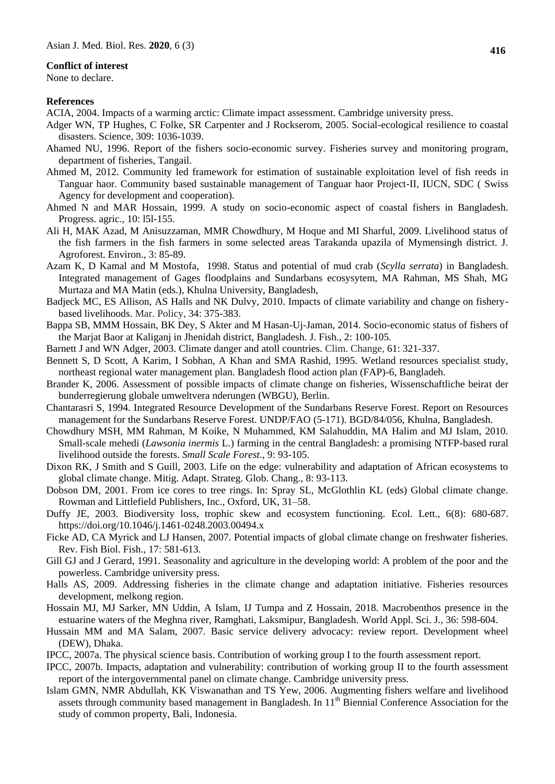#### **Conflict of interest**

None to declare.

#### **References**

ACIA, 2004. Impacts of a warming arctic: Climate impact assessment. Cambridge university press.

- Adger WN, TP Hughes, C Folke, SR Carpenter and J Rockserom, 2005. Social-ecological resilience to coastal disasters. Science, 309: 1036-1039.
- Ahamed NU, 1996. Report of the fishers socio-economic survey. Fisheries survey and monitoring program, department of fisheries, Tangail.
- Ahmed M, 2012. Community led framework for estimation of sustainable exploitation level of fish reeds in Tanguar haor. Community based sustainable management of Tanguar haor Project-II, IUCN, SDC ( Swiss Agency for development and cooperation).
- Ahmed N and MAR Hossain, 1999. A study on socio-economic aspect of coastal fishers in Bangladesh. Progress. agric., 10: l5l-155.
- Ali H, MAK Azad, M Anisuzzaman, MMR Chowdhury, M Hoque and MI Sharful, 2009. Livelihood status of the fish farmers in the fish farmers in some selected areas Tarakanda upazila of Mymensingh district. J. Agroforest. Environ., 3: 85-89.
- Azam K, D Kamal and M Mostofa, 1998. Status and potential of mud crab (*Scylla serrata*) in Bangladesh. Integrated management of Gages floodplains and Sundarbans ecosysytem, MA Rahman, MS Shah, MG Murtaza and MA Matin (eds.), Khulna University, Bangladesh,
- Badjeck MC, ES Allison, AS Halls and NK Dulvy, 2010. Impacts of climate variability and change on fisherybased livelihoods. Mar. Policy, 34: 375-383.
- Bappa SB, MMM Hossain, BK Dey, S Akter and M Hasan-Uj-Jaman, 2014. Socio-economic status of fishers of the Marjat Baor at Kaliganj in Jhenidah district, Bangladesh. J. Fish., 2: 100-105*.*
- Barnett J and WN Adger, 2003. Climate danger and atoll countries. Clim. Change, 61: 321-337.
- Bennett S, D Scott, A Karim, I Sobhan, A Khan and SMA Rashid, 1995. Wetland resources specialist study, northeast regional water management plan. Bangladesh flood action plan (FAP)-6, Bangladeh.
- Brander K, 2006. Assessment of possible impacts of climate change on fisheries, Wissenschaftliche beirat der bunderregierung globale umweltvera nderungen (WBGU), Berlin.
- Chantarasri S, 1994. Integrated Resource Development of the Sundarbans Reserve Forest. Report on Resources management for the Sundarbans Reserve Forest. UNDP/FAO (5-171). BGD/84/056, Khulna, Bangladesh.
- Chowdhury MSH, MM Rahman, M Koike, N Muhammed, KM Salahuddin, MA Halim and MJ Islam, 2010. Small-scale mehedi (*Lawsonia inermis* L.) farming in the central Bangladesh: a promising NTFP-based rural livelihood outside the forests. *Small Scale Forest.,* 9: 93-105.
- Dixon RK, J Smith and S Guill, 2003. Life on the edge: vulnerability and adaptation of African ecosystems to global climate change. Mitig. Adapt. Strateg. Glob. Chang., 8: 93-113.
- Dobson DM, 2001. From ice cores to tree rings. In: Spray SL, McGlothlin KL (eds) Global climate change. Rowman and Littlefield Publishers, Inc., Oxford, UK, 31–58.
- Duffy JE, 2003. Biodiversity loss, trophic skew and ecosystem functioning. Ecol. Lett., 6(8): 680-687. https://doi.org/10.1046/j.1461-0248.2003.00494.x
- Ficke AD, CA Myrick and LJ Hansen, 2007. Potential impacts of global climate change on freshwater fisheries. Rev. Fish Biol. Fish., 17: 581-613.
- Gill GJ and J Gerard, 1991. Seasonality and agriculture in the developing world: A problem of the poor and the powerless. Cambridge university press.
- Halls AS, 2009. Addressing fisheries in the climate change and adaptation initiative. Fisheries resources development, melkong region.
- Hossain MJ, MJ Sarker, MN Uddin, A Islam, IJ Tumpa and Z Hossain, 2018. Macrobenthos presence in the estuarine waters of the Meghna river, Ramghati, Laksmipur, Bangladesh. World Appl. Sci. J., 36: 598-604.
- Hussain MM and MA Salam, 2007. Basic service delivery advocacy: review report. Development wheel (DEW), Dhaka.
- IPCC, 2007a. The physical science basis. Contribution of working group I to the fourth assessment report.
- IPCC, 2007b. Impacts, adaptation and vulnerability: contribution of working group II to the fourth assessment report of the intergovernmental panel on climate change. Cambridge university press.
- Islam GMN, NMR Abdullah, KK Viswanathan and TS Yew, 2006. Augmenting fishers welfare and livelihood assets through community based management in Bangladesh. In 11<sup>th</sup> Biennial Conference Association for the study of common property, Bali, Indonesia.